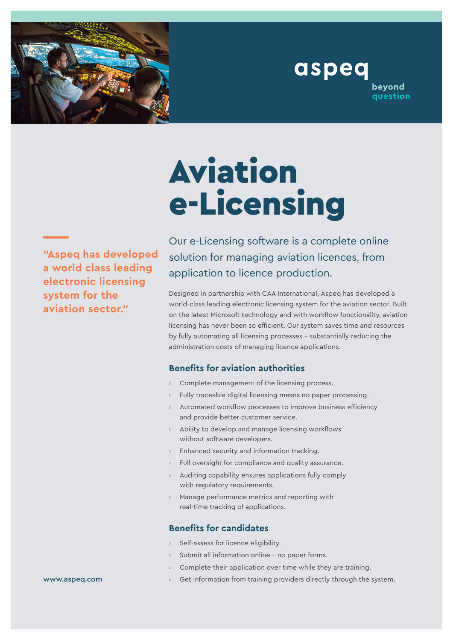

# Aviation e-Licensing

**"Aspeq has developed a world class leading electronic licensing system for the aviation sector."**

Our e-Licensing software is a complete online solution for managing aviation licences, from application to licence production.

aspeq

beyond question

Designed in partnership with CAA International, Aspeq has developed a world-class leading electronic licensing system for the aviation sector. Built on the latest Microsoft technology and with workflow functionality, aviation licensing has never been so efficient. Our system saves time and resources by fully automating all licensing processes – substantially reducing the administration costs of managing licence applications.

### **Benefits for aviation authorities**

- › Complete management of the licensing process.
- Fully traceable digital licensing means no paper processing.
- Automated workflow processes to improve business efficiency and provide better customer service.
- › Ability to develop and manage licensing workflows without software developers.
- › Enhanced security and information tracking.
- Full oversight for compliance and quality assurance.
- Auditing capability ensures applications fully comply with regulatory requirements.
- Manage performance metrics and reporting with real-time tracking of applications.

## **Benefits for candidates**

- Self-assess for licence eligibility.
- Submit all information online no paper forms.
- Complete their application over time while they are training.
- Get information from training providers directly through the system.

www.aspeq.com